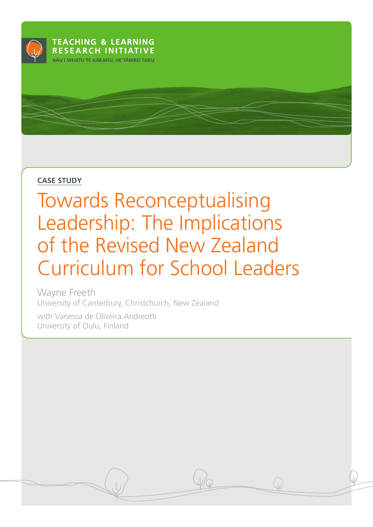

**TEACHING & LEARNING RESEARCH INITIATIVE** NĀU Į WHATU TE KĀKAHU, HE TĀNIKO TAKU

### **Case study**

# Towards Reconceptualising Leadership: The Implications of the Revised New Zealand Curriculum for School Leaders

Wayne Freeth University of Canterbury, Christchurch, New Zealand

with Vanessa de Oliveira Andreotti University of Oulu, Finland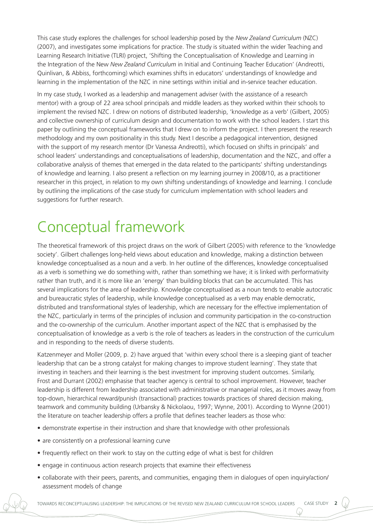This case study explores the challenges for school leadership posed by the *New Zealand Curriculum* (NZC) (2007), and investigates some implications for practice. The study is situated within the wider Teaching and Learning Research Initiative (TLRI) project, 'Shifting the Conceptualisation of Knowledge and Learning in the Integration of the New *New Zealand Curriculum* in Initial and Continuing Teacher Education' (Andreotti, Quinlivan, & Abbiss, forthcoming) which examines shifts in educators' understandings of knowledge and learning in the implementation of the NZC in nine settings within initial and in-service teacher education.

In my case study, I worked as a leadership and management adviser (with the assistance of a research mentor) with a group of 22 area school principals and middle leaders as they worked within their schools to implement the revised NZC. I drew on notions of distributed leadership, 'knowledge as a verb' (Gilbert, 2005) and collective ownership of curriculum design and documentation to work with the school leaders. I start this paper by outlining the conceptual frameworks that I drew on to inform the project. I then present the research methodology and my own positionality in this study. Next I describe a pedagogical intervention, designed with the support of my research mentor (Dr Vanessa Andreotti), which focused on shifts in principals' and school leaders' understandings and conceptualisations of leadership, documentation and the NZC, and offer a collaborative analysis of themes that emerged in the data related to the participants' shifting understandings of knowledge and learning. I also present a reflection on my learning journey in 2008/10, as a practitioner researcher in this project, in relation to my own shifting understandings of knowledge and learning. I conclude by outlining the implications of the case study for curriculum implementation with school leaders and suggestions for further research.

## Conceptual framework

The theoretical framework of this project draws on the work of Gilbert (2005) with reference to the 'knowledge society'. Gilbert challenges long-held views about education and knowledge, making a distinction between knowledge conceptualised as a noun and a verb. In her outline of the differences, knowledge conceptualised as a verb is something we do something with, rather than something we have; it is linked with performativity rather than truth, and it is more like an 'energy' than building blocks that can be accumulated. This has several implications for the area of leadership. Knowledge conceptualised as a noun tends to enable autocratic and bureaucratic styles of leadership, while knowledge conceptualised as a verb may enable democratic, distributed and transformational styles of leadership, which are necessary for the effective implementation of the NZC, particularly in terms of the principles of inclusion and community participation in the co-construction and the co-ownership of the curriculum. Another important aspect of the NZC that is emphasised by the conceptualisation of knowledge as a verb is the role of teachers as leaders in the construction of the curriculum and in responding to the needs of diverse students.

Katzenmeyer and Moller (2009, p. 2) have argued that 'within every school there is a sleeping giant of teacher leadership that can be a strong catalyst for making changes to improve student learning'. They state that investing in teachers and their learning is the best investment for improving student outcomes. Similarly, Frost and Durrant (2002) emphasise that teacher agency is central to school improvement. However, teacher leadership is different from leadership associated with administrative or managerial roles, as it moves away from top-down, hierarchical reward/punish (transactional) practices towards practices of shared decision making, teamwork and community building (Urbansky & Nickolaou, 1997; Wynne, 2001). According to Wynne (2001) the literature on teacher leadership offers a profile that defines teacher leaders as those who:

- demonstrate expertise in their instruction and share that knowledge with other professionals
- are consistently on a professional learning curve
- frequently reflect on their work to stay on the cutting edge of what is best for children
- engage in continuous action research projects that examine their effectiveness
- collaborate with their peers, parents, and communities, engaging them in dialogues of open inquiry/action/ assessment models of change

Towards Reconceptualising Leadership: The Implications of the Revised New Zealand Curriculum for School Leaders Case Study **2**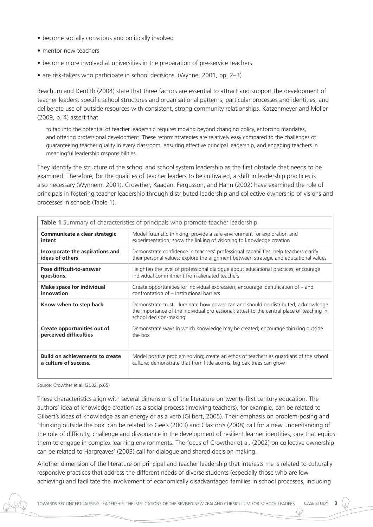- become socially conscious and politically involved
- mentor new teachers
- become more involved at universities in the preparation of pre-service teachers
- are risk-takers who participate in school decisions. (Wynne, 2001, pp. 2–3)

Beachum and Dentith (2004) state that three factors are essential to attract and support the development of teacher leaders: specific school structures and organisational patterns; particular processes and identities; and deliberate use of outside resources with consistent, strong community relationships. Katzenmeyer and Moller (2009, p. 4) assert that

to tap into the potential of teacher leadership requires moving beyond changing policy, enforcing mandates, and offering professional development. These reform strategies are relatively easy compared to the challenges of guaranteeing teacher quality in every classroom, ensuring effective principal leadership, and engaging teachers in meaningful leadership responsibilities.

They identify the structure of the school and school system leadership as the first obstacle that needs to be examined. Therefore, for the qualities of teacher leaders to be cultivated, a shift in leadership practices is also necessary (Wynnem, 2001). Crowther, Kaagan, Fergusson, and Hann (2002) have examined the role of principals in fostering teacher leadership through distributed leadership and collective ownership of visions and processes in schools (Table 1).

| Table 1 Summary of characteristics of principals who promote teacher leadership |                                                                                                                                                                                                           |  |
|---------------------------------------------------------------------------------|-----------------------------------------------------------------------------------------------------------------------------------------------------------------------------------------------------------|--|
| Communicate a clear strategic                                                   | Model futuristic thinking; provide a safe environment for exploration and                                                                                                                                 |  |
| intent                                                                          | experimentation; show the linking of visioning to knowledge creation                                                                                                                                      |  |
| Incorporate the aspirations and                                                 | Demonstrate confidence in teachers' professional capabilities; help teachers clarify                                                                                                                      |  |
| ideas of others                                                                 | their personal values; explore the alignment between strategic and educational values                                                                                                                     |  |
| Pose difficult-to-answer                                                        | Heighten the level of professional dialogue about educational practices; encourage                                                                                                                        |  |
| questions.                                                                      | individual commitment from alienated teachers                                                                                                                                                             |  |
| Make space for individual                                                       | Create opportunities for individual expression; encourage identification of $-$ and                                                                                                                       |  |
| innovation                                                                      | confrontation of – institutional barriers                                                                                                                                                                 |  |
| Know when to step back                                                          | Demonstrate trust; illuminate how power can and should be distributed; acknowledge<br>the importance of the individual professional; attest to the central place of teaching in<br>school decision-making |  |
| Create opportunities out of                                                     | Demonstrate ways in which knowledge may be created; encourage thinking outside                                                                                                                            |  |
| perceived difficulties                                                          | the box                                                                                                                                                                                                   |  |
| <b>Build on achievements to create</b>                                          | Model positive problem solving; create an ethos of teachers as guardians of the school                                                                                                                    |  |
| a culture of success.                                                           | culture; demonstrate that from little acorns, big oak trees can grow                                                                                                                                      |  |

Source: Crowther et al. (2002, p.65)

These characteristics align with several dimensions of the literature on twenty-first century education. The authors' idea of knowledge creation as a social process (involving teachers), for example, can be related to Gilbert's ideas of knowledge as an energy or as a verb (Gilbert, 2005). Their emphasis on problem-posing and 'thinking outside the box' can be related to Gee's (2003) and Claxton's (2008) call for a new understanding of the role of difficulty, challenge and dissonance in the development of resilient learner identities, one that equips them to engage in complex learning environments. The focus of Crowther et al. (2002) on collective ownership can be related to Hargreaves' (2003) call for dialogue and shared decision making.

Another dimension of the literature on principal and teacher leadership that interests me is related to culturally responsive practices that address the different needs of diverse students (especially those who are low achieving) and facilitate the involvement of economically disadvantaged families in school processes, including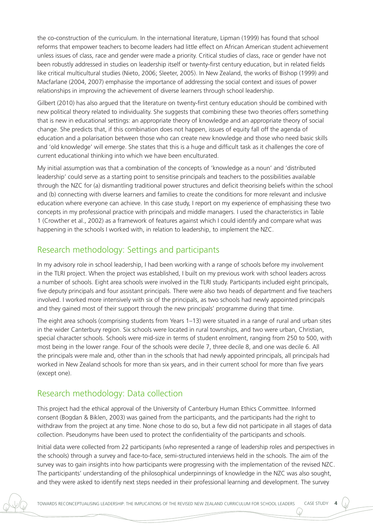the co-construction of the curriculum. In the international literature, Lipman (1999) has found that school reforms that empower teachers to become leaders had little effect on African American student achievement unless issues of class, race and gender were made a priority. Critical studies of class, race or gender have not been robustly addressed in studies on leadership itself or twenty-first century education, but in related fields like critical multicultural studies (Nieto, 2006; Sleeter, 2005). In New Zealand, the works of Bishop (1999) and Macfarlane (2004, 2007) emphasise the importance of addressing the social context and issues of power relationships in improving the achievement of diverse learners through school leadership.

Gilbert (2010) has also argued that the literature on twenty-first century education should be combined with new political theory related to individuality. She suggests that combining these two theories offers something that is new in educational settings: an appropriate theory of knowledge and an appropriate theory of social change. She predicts that, if this combination does not happen, issues of equity fall off the agenda of education and a polarisation between those who can create new knowledge and those who need basic skills and 'old knowledge' will emerge. She states that this is a huge and difficult task as it challenges the core of current educational thinking into which we have been enculturated.

My initial assumption was that a combination of the concepts of 'knowledge as a noun' and 'distributed leadership' could serve as a starting point to sensitise principals and teachers to the possibilities available through the NZC for (a) dismantling traditional power structures and deficit theorising beliefs within the school and (b) connecting with diverse learners and families to create the conditions for more relevant and inclusive education where everyone can achieve. In this case study, I report on my experience of emphasising these two concepts in my professional practice with principals and middle managers. I used the characteristics in Table 1 (Crowther et al., 2002) as a framework of features against which I could identify and compare what was happening in the schools I worked with, in relation to leadership, to implement the NZC.

## Research methodology: Settings and participants

In my advisory role in school leadership, I had been working with a range of schools before my involvement in the TLRI project. When the project was established, I built on my previous work with school leaders across a number of schools. Eight area schools were involved in the TLRI study. Participants included eight principals, five deputy principals and four assistant principals. There were also two heads of department and five teachers involved. I worked more intensively with six of the principals, as two schools had newly appointed principals and they gained most of their support through the new principals' programme during that time.

The eight area schools (comprising students from Years 1–13) were situated in a range of rural and urban sites in the wider Canterbury region. Six schools were located in rural townships, and two were urban, Christian, special character schools. Schools were mid-size in terms of student enrolment, ranging from 250 to 500, with most being in the lower range. Four of the schools were decile 7, three decile 8, and one was decile 6. All the principals were male and, other than in the schools that had newly appointed principals, all principals had worked in New Zealand schools for more than six years, and in their current school for more than five years (except one).

## Research methodology: Data collection

This project had the ethical approval of the University of Canterbury Human Ethics Committee. Informed consent (Bogdan & Biklen, 2003) was gained from the participants, and the participants had the right to withdraw from the project at any time. None chose to do so, but a few did not participate in all stages of data collection. Pseudonyms have been used to protect the confidentiality of the participants and schools.

Initial data were collected from 22 participants (who represented a range of leadership roles and perspectives in the schools) through a survey and face-to-face, semi-structured interviews held in the schools. The aim of the survey was to gain insights into how participants were progressing with the implementation of the revised NZC. The participants' understanding of the philosophical underpinnings of knowledge in the NZC was also sought, and they were asked to identify next steps needed in their professional learning and development. The survey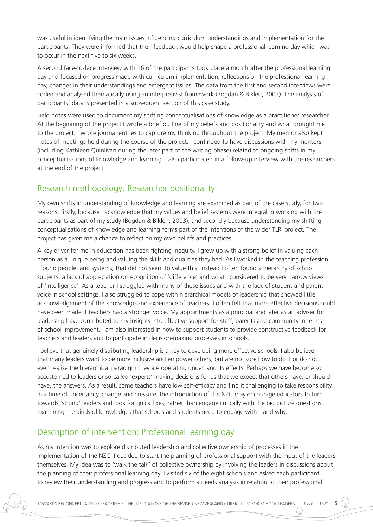was useful in identifying the main issues influencing curriculum understandings and implementation for the participants. They were informed that their feedback would help shape a professional learning day which was to occur in the next five to six weeks.

A second face-to-face interview with 16 of the participants took place a month after the professional learning day and focused on progress made with curriculum implementation, reflections on the professional learning day, changes in their understandings and emergent issues. The data from the first and second interviews were coded and analysed thematically using an interpretivist framework (Bogdan & Biklen, 2003). The analysis of participants' data is presented in a subsequent section of this case study.

Field notes were used to document my shifting conceptualisations of knowledge as a practitioner researcher. At the beginning of the project I wrote a brief outline of my beliefs and positionality and what brought me to the project. I wrote journal entries to capture my thinking throughout the project. My mentor also kept notes of meetings held during the course of the project. I continued to have discussions with my mentors (including Kathleen Quinlivan during the later part of the writing phase) related to ongoing shifts in my conceptualisations of knowledge and learning. I also participated in a follow-up interview with the researchers at the end of the project.

## Research methodology: Researcher positionality

My own shifts in understanding of knowledge and learning are examined as part of the case study, for two reasons; firstly, because I acknowledge that my values and belief systems were integral in working with the participants as part of my study (Bogdan & Biklen, 2003), and secondly because understanding my shifting conceptualisations of knowledge and learning forms part of the intentions of the wider TLRI project. The project has given me a chance to reflect on my own beliefs and practices.

A key driver for me in education has been fighting inequity. I grew up with a strong belief in valuing each person as a unique being and valuing the skills and qualities they had. As I worked in the teaching profession I found people, and systems, that did not seem to value this. Instead I often found a hierarchy of school subjects, a lack of appreciation or recognition of 'difference' and what I considered to be very narrow views of 'intelligence'. As a teacher I struggled with many of these issues and with the lack of student and parent voice in school settings. I also struggled to cope with hierarchical models of leadership that showed little acknowledgement of the knowledge and experience of teachers. I often felt that more effective decisions could have been made if teachers had a stronger voice. My appointments as a principal and later as an adviser for leadership have contributed to my insights into effective support for staff, parents and community in terms of school improvement. I am also interested in how to support students to provide constructive feedback for teachers and leaders and to participate in decision-making processes in schools.

I believe that genuinely distributing leadership is a key to developing more effective schools. I also believe that many leaders want to be more inclusive and empower others, but are not sure how to do it or do not even realise the hierarchical paradigm they are operating under, and its effects. Perhaps we have become so accustomed to leaders or so-called 'experts' making decisions for us that we expect that others have, or should have, the answers. As a result, some teachers have low self-efficacy and find it challenging to take responsibility. In a time of uncertainty, change and pressure, the introduction of the NZC may encourage educators to turn towards 'strong' leaders and look for quick fixes, rather than engage critically with the big picture questions, examining the kinds of knowledges that schools and students need to engage with—and why.

## Description of intervention: Professional learning day

As my intention was to explore distributed leadership and collective ownership of processes in the implementation of the NZC, I decided to start the planning of professional support with the input of the leaders themselves. My idea was to 'walk the talk' of collective ownership by involving the leaders in discussions about the planning of their professional learning day. I visited six of the eight schools and asked each participant to review their understanding and progress and to perform a needs analysis in relation to their professional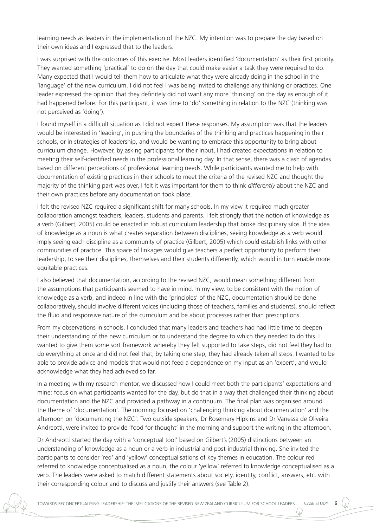learning needs as leaders in the implementation of the NZC. My intention was to prepare the day based on their own ideas and I expressed that to the leaders.

I was surprised with the outcomes of this exercise. Most leaders identified 'documentation' as their first priority. They wanted something 'practical' to do on the day that could make easier a task they were required to do. Many expected that I would tell them how to articulate what they were already doing in the school in the 'language' of the new curriculum. I did not feel I was being invited to challenge any thinking or practices. One leader expressed the opinion that they definitely did not want any more 'thinking' on the day as enough of it had happened before. For this participant, it was time to 'do' something in relation to the NZC (thinking was not perceived as 'doing').

I found myself in a difficult situation as I did not expect these responses. My assumption was that the leaders would be interested in 'leading', in pushing the boundaries of the thinking and practices happening in their schools, or in strategies of leadership, and would be wanting to embrace this opportunity to bring about curriculum change. However, by asking participants for their input, I had created expectations in relation to meeting their self-identified needs in the professional learning day. In that sense, there was a clash of agendas based on different perceptions of professional learning needs. While participants wanted me to help with documentation of existing practices in their schools to meet the criteria of the revised NZC and thought the majority of the thinking part was over, I felt it was important for them to think *differently* about the NZC and their own practices before any documentation took place.

I felt the revised NZC required a significant shift for many schools. In my view it required much greater collaboration amongst teachers, leaders, students and parents. I felt strongly that the notion of knowledge as a verb (Gilbert, 2005) could be enacted in robust curriculum leadership that broke disciplinary silos. If the idea of knowledge as a noun is what creates separation between disciplines, seeing knowledge as a verb would imply seeing each discipline as a community of practice (Gilbert, 2005) which could establish links with other communities of practice. This space of linkages would give teachers a perfect opportunity to perform their leadership, to see their disciplines, themselves and their students differently, which would in turn enable more equitable practices.

I also believed that documentation, according to the revised NZC, would mean something different from the assumptions that participants seemed to have in mind. In my view, to be consistent with the notion of knowledge as a verb, and indeed in line with the 'principles' of the NZC, documentation should be done collaboratively, should involve different voices (including those of teachers, families and students), should reflect the fluid and responsive nature of the curriculum and be about processes rather than prescriptions.

From my observations in schools, I concluded that many leaders and teachers had had little time to deepen their understanding of the new curriculum or to understand the degree to which they needed to do this. I wanted to give them some sort framework whereby they felt supported to take steps, did not feel they had to do everything at once and did not feel that, by taking one step, they had already taken all steps. I wanted to be able to provide advice and models that would not feed a dependence on my input as an 'expert', and would acknowledge what they had achieved so far.

In a meeting with my research mentor, we discussed how I could meet both the participants' expectations and mine: focus on what participants wanted for the day, but do that in a way that challenged their thinking about documentation and the NZC and provided a pathway in a continuum. The final plan was organised around the theme of 'documentation'. The morning focused on 'challenging thinking about documentation' and the afternoon on 'documenting the NZC'. Two outside speakers, Dr Rosemary Hipkins and Dr Vanessa de Oliveira Andreotti, were invited to provide 'food for thought' in the morning and support the writing in the afternoon.

Dr Andreotti started the day with a 'conceptual tool' based on Gilbert's (2005) distinctions between an understanding of knowledge as a noun or a verb in industrial and post-industrial thinking. She invited the participants to consider 'red' and 'yellow' conceptualisations of key themes in education. The colour red referred to knowledge conceptualised as a noun, the colour 'yellow' referred to knowledge conceptualised as a verb. The leaders were asked to match different statements about society, identity, conflict, answers, etc. with their corresponding colour and to discuss and justify their answers (see Table 2).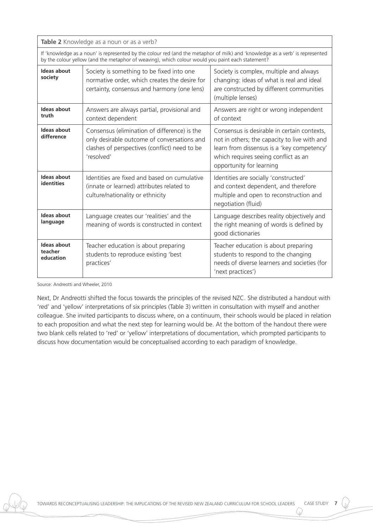| Table 2 Knowledge as a noun or as a verb?                                                                                                                                                                                         |                                                                                                                                                            |                                                                                                                                                                                                               |  |
|-----------------------------------------------------------------------------------------------------------------------------------------------------------------------------------------------------------------------------------|------------------------------------------------------------------------------------------------------------------------------------------------------------|---------------------------------------------------------------------------------------------------------------------------------------------------------------------------------------------------------------|--|
| If 'knowledge as a noun' is represented by the colour red (and the metaphor of milk) and 'knowledge as a verb' is represented<br>by the colour yellow (and the metaphor of weaving), which colour would you paint each statement? |                                                                                                                                                            |                                                                                                                                                                                                               |  |
| <b>Ideas about</b><br>society                                                                                                                                                                                                     | Society is something to be fixed into one<br>normative order, which creates the desire for<br>certainty, consensus and harmony (one lens)                  | Society is complex, multiple and always<br>changing: ideas of what is real and ideal<br>are constructed by different communities<br>(multiple lenses)                                                         |  |
| Ideas about<br>truth                                                                                                                                                                                                              | Answers are always partial, provisional and<br>context dependent                                                                                           | Answers are right or wrong independent<br>of context                                                                                                                                                          |  |
| Ideas about<br>difference                                                                                                                                                                                                         | Consensus (elimination of difference) is the<br>only desirable outcome of conversations and<br>clashes of perspectives (conflict) need to be<br>'resolved' | Consensus is desirable in certain contexts,<br>not in others; the capacity to live with and<br>learn from dissensus is a 'key competency'<br>which requires seeing conflict as an<br>opportunity for learning |  |
| <b>Ideas about</b><br>identities                                                                                                                                                                                                  | Identities are fixed and based on cumulative<br>(innate or learned) attributes related to<br>culture/nationality or ethnicity                              | Identities are socially 'constructed'<br>and context dependent, and therefore<br>multiple and open to reconstruction and<br>negotiation (fluid)                                                               |  |
| Ideas about<br>language                                                                                                                                                                                                           | Language creates our 'realities' and the<br>meaning of words is constructed in context                                                                     | Language describes reality objectively and<br>the right meaning of words is defined by<br>good dictionaries                                                                                                   |  |
| Ideas about<br>teacher<br>education                                                                                                                                                                                               | Teacher education is about preparing<br>students to reproduce existing 'best<br>practices'                                                                 | Teacher education is about preparing<br>students to respond to the changing<br>needs of diverse learners and societies (for<br>'next practices')                                                              |  |

Source: Andreotti and Wheeler, 2010

Next, Dr Andreotti shifted the focus towards the principles of the revised NZC. She distributed a handout with 'red' and 'yellow' interpretations of six principles (Table 3) written in consultation with myself and another colleague. She invited participants to discuss where, on a continuum, their schools would be placed in relation to each proposition and what the next step for learning would be. At the bottom of the handout there were two blank cells related to 'red' or 'yellow' interpretations of documentation, which prompted participants to discuss how documentation would be conceptualised according to each paradigm of knowledge.

(.u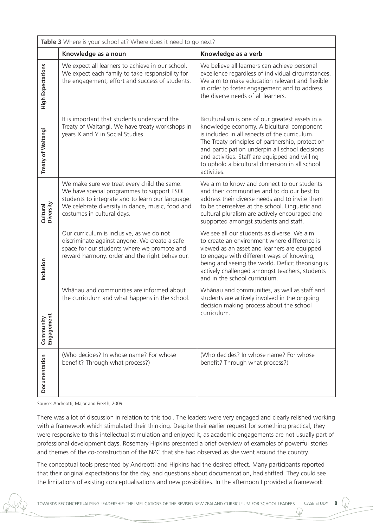| Table 3 Where is your school at? Where does it need to go next? |                                                                                                                                                                                                                                 |                                                                                                                                                                                                                                                                                                                                                                          |  |  |
|-----------------------------------------------------------------|---------------------------------------------------------------------------------------------------------------------------------------------------------------------------------------------------------------------------------|--------------------------------------------------------------------------------------------------------------------------------------------------------------------------------------------------------------------------------------------------------------------------------------------------------------------------------------------------------------------------|--|--|
|                                                                 | Knowledge as a noun                                                                                                                                                                                                             | Knowledge as a verb                                                                                                                                                                                                                                                                                                                                                      |  |  |
| <b>High Expectations</b>                                        | We expect all learners to achieve in our school.<br>We expect each family to take responsibility for<br>the engagement, effort and success of students.                                                                         | We believe all learners can achieve personal<br>excellence regardless of individual circumstances.<br>We aim to make education relevant and flexible<br>in order to foster engagement and to address<br>the diverse needs of all learners.                                                                                                                               |  |  |
| <b>Treaty of Waitangi</b>                                       | It is important that students understand the<br>Treaty of Waitangi. We have treaty workshops in<br>years X and Y in Social Studies.                                                                                             | Biculturalism is one of our greatest assets in a<br>knowledge economy. A bicultural component<br>is included in all aspects of the curriculum.<br>The Treaty principles of partnership, protection<br>and participation underpin all school decisions<br>and activities. Staff are equipped and willing<br>to uphold a bicultural dimension in all school<br>activities. |  |  |
| Cultural<br>Diversity                                           | We make sure we treat every child the same.<br>We have special programmes to support ESOL<br>students to integrate and to learn our language.<br>We celebrate diversity in dance, music, food and<br>costumes in cultural days. | We aim to know and connect to our students<br>and their communities and to do our best to<br>address their diverse needs and to invite them<br>to be themselves at the school. Linguistic and<br>cultural pluralism are actively encouraged and<br>supported amongst students and staff.                                                                                 |  |  |
| Inclusion                                                       | Our curriculum is inclusive, as we do not<br>discriminate against anyone. We create a safe<br>space for our students where we promote and<br>reward harmony, order and the right behaviour.                                     | We see all our students as diverse. We aim<br>to create an environment where difference is<br>viewed as an asset and learners are equipped<br>to engage with different ways of knowing,<br>being and seeing the world. Deficit theorising is<br>actively challenged amongst teachers, students<br>and in the school curriculum.                                          |  |  |
| Community<br>Engagemen                                          | Whānau and communities are informed about<br>the curriculum and what happens in the school.                                                                                                                                     | Whānau and communities, as well as staff and<br>students are actively involved in the ongoing<br>decision making process about the school<br>curriculum.                                                                                                                                                                                                                 |  |  |
| Documentation                                                   | (Who decides? In whose name? For whose<br>benefit? Through what process?)                                                                                                                                                       | (Who decides? In whose name? For whose<br>benefit? Through what process?)                                                                                                                                                                                                                                                                                                |  |  |

Source: Andreotti, Major and Freeth, 2009

There was a lot of discussion in relation to this tool. The leaders were very engaged and clearly relished working with a framework which stimulated their thinking. Despite their earlier request for something practical, they were responsive to this intellectual stimulation and enjoyed it, as academic engagements are not usually part of professional development days. Rosemary Hipkins presented a brief overview of examples of powerful stories and themes of the co-construction of the NZC that she had observed as she went around the country.

The conceptual tools presented by Andreotti and Hipkins had the desired effect. Many participants reported that their original expectations for the day, and questions about documentation, had shifted. They could see the limitations of existing conceptualisations and new possibilities. In the afternoon I provided a framework

 $\bar{1}$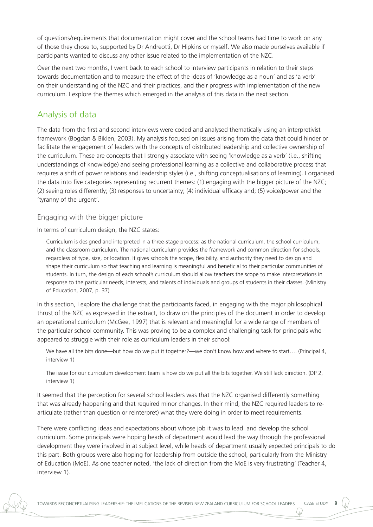of questions/requirements that documentation might cover and the school teams had time to work on any of those they chose to, supported by Dr Andreotti, Dr Hipkins or myself. We also made ourselves available if participants wanted to discuss any other issue related to the implementation of the NZC.

Over the next two months, I went back to each school to interview participants in relation to their steps towards documentation and to measure the effect of the ideas of 'knowledge as a noun' and as 'a verb' on their understanding of the NZC and their practices, and their progress with implementation of the new curriculum. I explore the themes which emerged in the analysis of this data in the next section.

## Analysis of data

The data from the first and second interviews were coded and analysed thematically using an interpretivist framework (Bogdan & Biklen, 2003). My analysis focused on issues arising from the data that could hinder or facilitate the engagement of leaders with the concepts of distributed leadership and collective ownership of the curriculum. These are concepts that I strongly associate with seeing 'knowledge as a verb' (i.e., shifting understandings of knowledge) and seeing professional learning as a collective and collaborative process that requires a shift of power relations and leadership styles (i.e., shifting conceptualisations of learning). I organised the data into five categories representing recurrent themes: (1) engaging with the bigger picture of the NZC; (2) seeing roles differently; (3) responses to uncertainty; (4) individual efficacy and; (5) voice/power and the 'tyranny of the urgent'.

#### Engaging with the bigger picture

In terms of curriculum design, the NZC states:

Curriculum is designed and interpreted in a three-stage process: as the national curriculum, the school curriculum, and the classroom curriculum. The national curriculum provides the framework and common direction for schools, regardless of type, size, or location. It gives schools the scope, flexibility, and authority they need to design and shape their curriculum so that teaching and learning is meaningful and beneficial to their particular communities of students. In turn, the design of each school's curriculum should allow teachers the scope to make interpretations in response to the particular needs, interests, and talents of individuals and groups of students in their classes. (Ministry of Education, 2007, p. 37)

In this section, I explore the challenge that the participants faced, in engaging with the major philosophical thrust of the NZC as expressed in the extract, to draw on the principles of the document in order to develop an operational curriculum (McGee, 1997) that is relevant and meaningful for a wide range of members of the particular school community. This was proving to be a complex and challenging task for principals who appeared to struggle with their role as curriculum leaders in their school:

We have all the bits done—but how do we put it together?—we don't know how and where to start.... (Principal 4, interview 1)

The issue for our curriculum development team is how do we put all the bits together. We still lack direction. (DP 2, interview 1)

It seemed that the perception for several school leaders was that the NZC organised differently something that was already happening and that required minor changes. In their mind, the NZC required leaders to rearticulate (rather than question or reinterpret) what they were doing in order to meet requirements.

There were conflicting ideas and expectations about whose job it was to lead and develop the school curriculum. Some principals were hoping heads of department would lead the way through the professional development they were involved in at subject level, while heads of department usually expected principals to do this part. Both groups were also hoping for leadership from outside the school, particularly from the Ministry of Education (MoE). As one teacher noted, 'the lack of direction from the MoE is very frustrating' (Teacher 4, interview 1).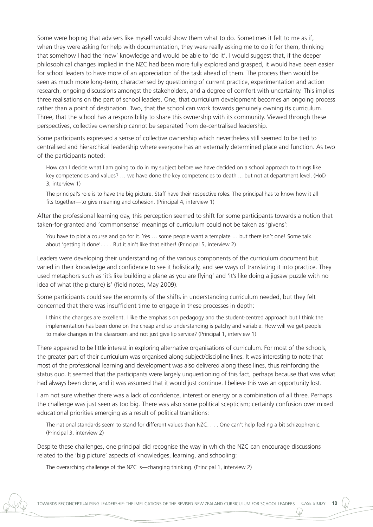Some were hoping that advisers like myself would show them what to do. Sometimes it felt to me as if, when they were asking for help with documentation, they were really asking me to do it for them, thinking that somehow I had the 'new' knowledge and would be able to 'do it'. I would suggest that, if the deeper philosophical changes implied in the NZC had been more fully explored and grasped, it would have been easier for school leaders to have more of an appreciation of the task ahead of them. The process then would be seen as much more long-term, characterised by questioning of current practice, experimentation and action research, ongoing discussions amongst the stakeholders, and a degree of comfort with uncertainty. This implies three realisations on the part of school leaders. One, that curriculum development becomes an ongoing process rather than a point of destination. Two, that the school can work towards genuinely owning its curriculum. Three, that the school has a responsibility to share this ownership with its community. Viewed through these perspectives, collective ownership cannot be separated from de-centralised leadership.

Some participants expressed a sense of collective ownership which nevertheless still seemed to be tied to centralised and hierarchical leadership where everyone has an externally determined place and function. As two of the participants noted:

How can I decide what I am going to do in my subject before we have decided on a school approach to things like key competencies and values? … we have done the key competencies to death ... but not at department level. (HoD 3, interview 1)

The principal's role is to have the big picture. Staff have their respective roles. The principal has to know how it all fits together—to give meaning and cohesion. (Principal 4, interview 1)

After the professional learning day, this perception seemed to shift for some participants towards a notion that taken-for-granted and 'commonsense' meanings of curriculum could not be taken as 'givens':

You have to plot a course and go for it. Yes ... some people want a template ... but there isn't one! Some talk about 'getting it done'. . . . But it ain't like that either! (Principal 5, interview 2)

Leaders were developing their understanding of the various components of the curriculum document but varied in their knowledge and confidence to see it holistically, and see ways of translating it into practice. They used metaphors such as 'it's like building a plane as you are flying' and 'it's like doing a jigsaw puzzle with no idea of what (the picture) is' (field notes, May 2009).

Some participants could see the enormity of the shifts in understanding curriculum needed, but they felt concerned that there was insufficient time to engage in these processes in depth:

I think the changes are excellent. I like the emphasis on pedagogy and the student-centred approach but I think the implementation has been done on the cheap and so understanding is patchy and variable. How will we get people to make changes in the classroom and not just give lip service? (Principal 1, interview 1)

There appeared to be little interest in exploring alternative organisations of curriculum. For most of the schools, the greater part of their curriculum was organised along subject/discipline lines. It was interesting to note that most of the professional learning and development was also delivered along these lines, thus reinforcing the status quo. It seemed that the participants were largely unquestioning of this fact, perhaps because that was what had always been done, and it was assumed that it would just continue. I believe this was an opportunity lost.

I am not sure whether there was a lack of confidence, interest or energy or a combination of all three. Perhaps the challenge was just seen as too big. There was also some political scepticism; certainly confusion over mixed educational priorities emerging as a result of political transitions:

The national standards seem to stand for different values than NZC. . . . One can't help feeling a bit schizophrenic. (Principal 3, interview 2)

Despite these challenges, one principal did recognise the way in which the NZC can encourage discussions related to the 'big picture' aspects of knowledges, learning, and schooling:

The overarching challenge of the NZC is—changing thinking. (Principal 1, interview 2)

 $\bar{1}$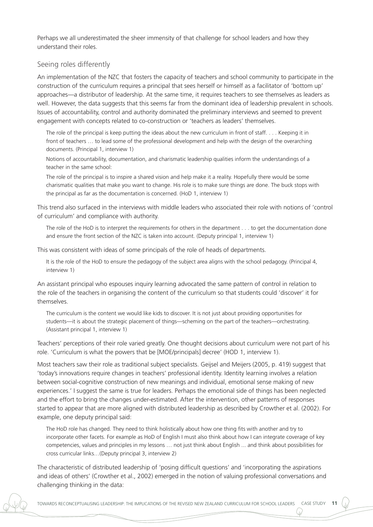Perhaps we all underestimated the sheer immensity of that challenge for school leaders and how they understand their roles.

#### Seeing roles differently

An implementation of the NZC that fosters the capacity of teachers and school community to participate in the construction of the curriculum requires a principal that sees herself or himself as a facilitator of 'bottom up' approaches—a distributor of leadership. At the same time, it requires teachers to see themselves as leaders as well. However, the data suggests that this seems far from the dominant idea of leadership prevalent in schools. Issues of accountability, control and authority dominated the preliminary interviews and seemed to prevent engagement with concepts related to co-construction or 'teachers as leaders' themselves.

The role of the principal is keep putting the ideas about the new curriculum in front of staff. . . . Keeping it in front of teachers … to lead some of the professional development and help with the design of the overarching documents. (Principal 1, interview 1)

Notions of accountability, documentation, and charismatic leadership qualities inform the understandings of a teacher in the same school:

The role of the principal is to inspire a shared vision and help make it a reality. Hopefully there would be some charismatic qualities that make you want to change. His role is to make sure things are done. The buck stops with the principal as far as the documentation is concerned. (HoD 1, interview 1)

This trend also surfaced in the interviews with middle leaders who associated their role with notions of 'control of curriculum' and compliance with authority.

The role of the HoD is to interpret the requirements for others in the department . . . to get the documentation done and ensure the front section of the NZC is taken into account. (Deputy principal 1, interview 1)

This was consistent with ideas of some principals of the role of heads of departments.

It is the role of the HoD to ensure the pedagogy of the subject area aligns with the school pedagogy. (Principal 4, interview 1)

An assistant principal who espouses inquiry learning advocated the same pattern of control in relation to the role of the teachers in organising the content of the curriculum so that students could 'discover' it for themselves.

The curriculum is the content we would like kids to discover. It is not just about providing opportunities for students—it is about the strategic placement of things—scheming on the part of the teachers—orchestrating. (Assistant principal 1, interview 1)

Teachers' perceptions of their role varied greatly. One thought decisions about curriculum were not part of his role. 'Curriculum is what the powers that be [MOE/principals] decree' (HOD 1, interview 1).

Most teachers saw their role as traditional subject specialists. Geijsel and Meijers (2005, p. 419) suggest that 'today's innovations require changes in teachers' professional identity. Identity learning involves a relation between social-cognitive construction of new meanings and individual, emotional sense making of new experiences.' I suggest the same is true for leaders. Perhaps the emotional side of things has been neglected and the effort to bring the changes under-estimated. After the intervention, other patterns of responses started to appear that are more aligned with distributed leadership as described by Crowther et al. (2002). For example, one deputy principal said:

The HoD role has changed. They need to think holistically about how one thing fits with another and try to incorporate other facets. For example as HoD of English I must also think about how I can integrate coverage of key competencies, values and principles in my lessons … not just think about English ... and think about possibilities for cross curricular links…(Deputy principal 3, interview 2)

The characteristic of distributed leadership of 'posing difficult questions' and 'incorporating the aspirations and ideas of others' (Crowther et al., 2002) emerged in the notion of valuing professional conversations and challenging thinking in the data: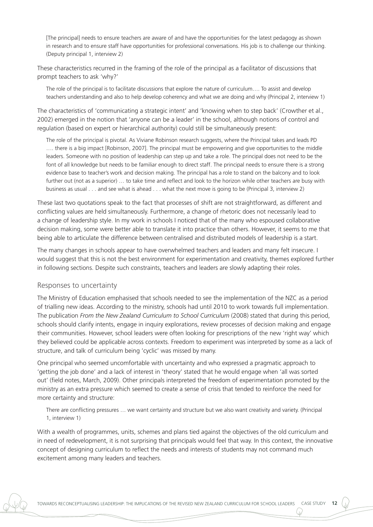[The principal] needs to ensure teachers are aware of and have the opportunities for the latest pedagogy as shown in research and to ensure staff have opportunities for professional conversations. His job is to challenge our thinking. (Deputy principal 1, interview 2)

These characteristics recurred in the framing of the role of the principal as a facilitator of discussions that prompt teachers to ask 'why?'

The role of the principal is to facilitate discussions that explore the nature of curriculum…. To assist and develop teachers understanding and also to help develop coherency and what we are doing and why (Principal 2, interview 1)

The characteristics of 'communicating a strategic intent' and 'knowing when to step back' (Crowther et al., 2002) emerged in the notion that 'anyone can be a leader' in the school, although notions of control and regulation (based on expert or hierarchical authority) could still be simultaneously present:

The role of the principal is pivotal. As Viviane Robinson research suggests, where the Principal takes and leads PD …. there is a big impact [Robinson, 2007]. The principal must be empowering and give opportunities to the middle leaders. Someone with no position of leadership can step up and take a role. The principal does not need to be the font of all knowledge but needs to be familiar enough to direct staff. The principal needs to ensure there is a strong evidence base to teacher's work and decision making. The principal has a role to stand on the balcony and to look further out (not as a superior) … to take time and reflect and look to the horizon while other teachers are busy with business as usual . . . and see what is ahead . . . what the next move is going to be (Principal 3, interview 2)

These last two quotations speak to the fact that processes of shift are not straightforward, as different and conflicting values are held simultaneously. Furthermore, a change of rhetoric does not necessarily lead to a change of leadership style. In my work in schools I noticed that of the many who espoused collaborative decision making, some were better able to translate it into practice than others. However, it seems to me that being able to articulate the difference between centralised and distributed models of leadership is a start.

The many changes in schools appear to have overwhelmed teachers and leaders and many felt insecure. I would suggest that this is not the best environment for experimentation and creativity, themes explored further in following sections. Despite such constraints, teachers and leaders are slowly adapting their roles.

#### Responses to uncertainty

The Ministry of Education emphasised that schools needed to see the implementation of the NZC as a period of trialling new ideas. According to the ministry, schools had until 2010 to work towards full implementation. The publication *From the New Zealand Curriculum to School Curriculum* (2008) stated that during this period, schools should clarify intents, engage in inquiry explorations, review processes of decision making and engage their communities. However, school leaders were often looking for prescriptions of the new 'right way' which they believed could be applicable across contexts. Freedom to experiment was interpreted by some as a lack of structure, and talk of curriculum being 'cyclic' was missed by many.

One principal who seemed uncomfortable with uncertainty and who expressed a pragmatic approach to 'getting the job done' and a lack of interest in 'theory' stated that he would engage when 'all was sorted out' (field notes, March, 2009). Other principals interpreted the freedom of experimentation promoted by the ministry as an extra pressure which seemed to create a sense of crisis that tended to reinforce the need for more certainty and structure:

There are conflicting pressures … we want certainty and structure but we also want creativity and variety. (Principal 1, interview 1)

With a wealth of programmes, units, schemes and plans tied against the objectives of the old curriculum and in need of redevelopment, it is not surprising that principals would feel that way. In this context, the innovative concept of designing curriculum to reflect the needs and interests of students may not command much excitement among many leaders and teachers.

Съ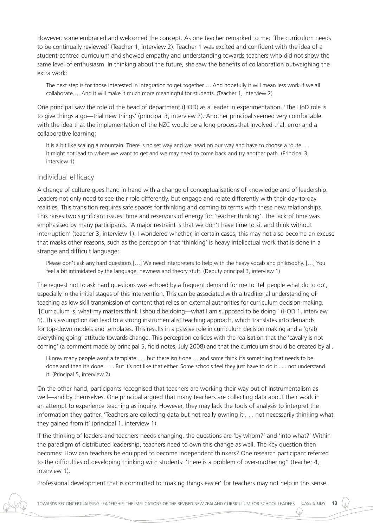However, some embraced and welcomed the concept. As one teacher remarked to me: 'The curriculum needs to be continually reviewed' (Teacher 1, interview 2). Teacher 1 was excited and confident with the idea of a student-centred curriculum and showed empathy and understanding towards teachers who did not show the same level of enthusiasm. In thinking about the future, she saw the benefits of collaboration outweighing the extra work:

The next step is for those interested in integration to get together … And hopefully it will mean less work if we all collaborate…. And it will make it much more meaningful for students. (Teacher 1, interview 2)

One principal saw the role of the head of department (HOD) as a leader in experimentation. 'The HoD role is to give things a go—trial new things' (principal 3, interview 2). Another principal seemed very comfortable with the idea that the implementation of the NZC would be a long processthat involved trial, error and a collaborative learning:

It is a bit like scaling a mountain. There is no set way and we head on our way and have to choose a route. . . It might not lead to where we want to get and we may need to come back and try another path. (Principal 3, interview 1)

#### Individual efficacy

A change of culture goes hand in hand with a change of conceptualisations of knowledge and of leadership. Leaders not only need to see their role differently, but engage and relate differently with their day-to-day realities. This transition requires safe spaces for thinking and coming to terms with these new relationships. This raises two significant issues: time and reservoirs of energy for 'teacher thinking'. The lack of time was emphasised by many participants. 'A major restraint is that we don't have time to sit and think without interruption' (teacher 3, interview 1). I wondered whether, in certain cases, this may not also become an excuse that masks other reasons, such as the perception that 'thinking' is heavy intellectual work that is done in a strange and difficult language:

Please don't ask any hard questions […] We need interpreters to help with the heavy vocab and philosophy. […] You feel a bit intimidated by the language, newness and theory stuff. (Deputy principal 3, interview 1)

The request not to ask hard questions was echoed by a frequent demand for me to 'tell people what do to do', especially in the initial stages of this intervention. This can be associated with a traditional understanding of teaching as low skill transmission of content that relies on external authorities for curriculum decision-making. '[Curriculum is] what my masters think I should be doing—what I am supposed to be doing" (HOD 1, interview 1). This assumption can lead to a strong instrumentalist teaching approach, which translates into demands for top-down models and templates. This results in a passive role in curriculum decision making and a 'grab everything going' attitude towards change. This perception collides with the realisation that the 'cavalry is not coming' (a comment made by principal 5, field notes, July 2008) and that the curriculum should be created by all.

I know many people want a template . . . but there isn't one … and some think it's something that needs to be done and then it's done. . . . But it's not like that either. Some schools feel they just have to do it . . . not understand it. (Principal 5, interview 2)

On the other hand, participants recognised that teachers are working their way out of instrumentalism as well—and by themselves. One principal argued that many teachers are collecting data about their work in an attempt to experience teaching as inquiry. However, they may lack the tools of analysis to interpret the information they gather. 'Teachers are collecting data but not really owning it . . . not necessarily thinking what they gained from it' (principal 1, interview 1).

If the thinking of leaders and teachers needs changing, the questions are 'by whom?' and 'into what?' Within the paradigm of distributed leadership, teachers need to own this change as well. The key question then becomes: How can teachers be equipped to become independent thinkers? One research participant referred to the difficulties of developing thinking with students: 'there is a problem of over-mothering" (teacher 4, interview 1).

Professional development that is committed to 'making things easier' for teachers may not help in this sense.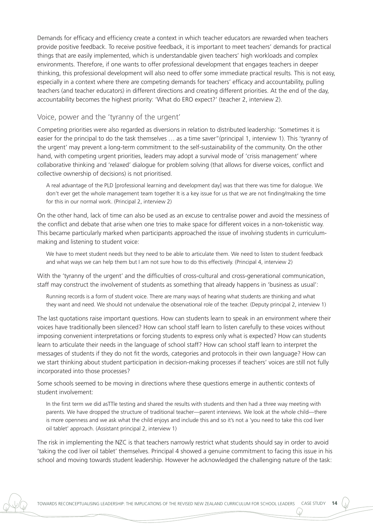Demands for efficacy and efficiency create a context in which teacher educators are rewarded when teachers provide positive feedback. To receive positive feedback, it is important to meet teachers' demands for practical things that are easily implemented, which is understandable given teachers' high workloads and complex environments. Therefore, if one wants to offer professional development that engages teachers in deeper thinking, this professional development will also need to offer some immediate practical results. This is not easy, especially in a context where there are competing demands for teachers' efficacy and accountability, pulling teachers (and teacher educators) in different directions and creating different priorities. At the end of the day, accountability becomes the highest priority: 'What do ERO expect?' (teacher 2, interview 2).

#### Voice, power and the 'tyranny of the urgent'

Competing priorities were also regarded as diversions in relation to distributed leadership: 'Sometimes it is easier for the principal to do the task themselves … as a time saver"(principal 1, interview 1). This 'tyranny of the urgent' may prevent a long-term commitment to the self-sustainability of the community. On the other hand, with competing urgent priorities, leaders may adopt a survival mode of 'crisis management' where collaborative thinking and 'relaxed' dialogue for problem solving (that allows for diverse voices, conflict and collective ownership of decisions) is not prioritised.

A real advantage of the PLD [professional learning and development day] was that there was time for dialogue. We don't ever get the whole management team together It is a key issue for us that we are not finding/making the time for this in our normal work. (Principal 2, interview 2)

On the other hand, lack of time can also be used as an excuse to centralise power and avoid the messiness of the conflict and debate that arise when one tries to make space for different voices in a non-tokenistic way. This became particularly marked when participants approached the issue of involving students in curriculummaking and listening to student voice:

We have to meet student needs but they need to be able to articulate them. We need to listen to student feedback and what ways we can help them but I am not sure how to do this effectively. (Principal 4, interview 2)

With the 'tyranny of the urgent' and the difficulties of cross-cultural and cross-generational communication, staff may construct the involvement of students as something that already happens in 'business as usual':

Running records is a form of student voice. There are many ways of hearing what students are thinking and what they want and need. We should not undervalue the observational role of the teacher. (Deputy principal 2, interview 1)

The last quotations raise important questions. How can students learn to speak in an environment where their voices have traditionally been silenced? How can school staff learn to listen carefully to these voices without imposing convenient interpretations or forcing students to express only what is expected? How can students learn to articulate their needs in the language of school staff? How can school staff learn to interpret the messages of students if they do not fit the words, categories and protocols in their own language? How can we start thinking about student participation in decision-making processes if teachers' voices are still not fully incorporated into those processes?

Some schools seemed to be moving in directions where these questions emerge in authentic contexts of student involvement:

In the first term we did asTTle testing and shared the results with students and then had a three way meeting with parents. We have dropped the structure of traditional teacher—parent interviews. We look at the whole child—there is more openness and we ask what the child enjoys and include this and so it's not a 'you need to take this cod liver oil tablet' approach. (Assistant principal 2, interview 1)

The risk in implementing the NZC is that teachers narrowly restrict what students should say in order to avoid 'taking the cod liver oil tablet' themselves. Principal 4 showed a genuine commitment to facing this issue in his school and moving towards student leadership. However he acknowledged the challenging nature of the task: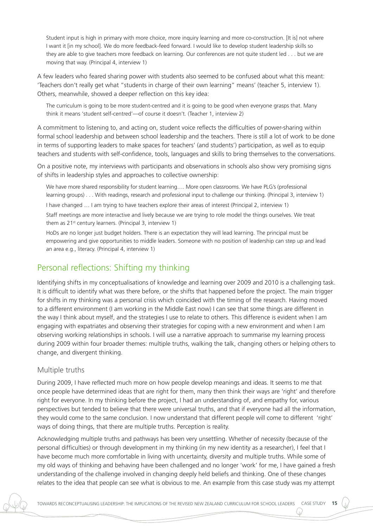Student input is high in primary with more choice, more inquiry learning and more co-construction. [It is] not where I want it [in my school]. We do more feedback-feed forward. I would like to develop student leadership skills so they are able to give teachers more feedback on learning. Our conferences are not quite student led . . . but we are moving that way. (Principal 4, interview 1)

A few leaders who feared sharing power with students also seemed to be confused about what this meant: 'Teachers don't really get what "students in charge of their own learning" means' (teacher 5, interview 1). Others, meanwhile, showed a deeper reflection on this key idea:

The curriculum is going to be more student-centred and it is going to be good when everyone grasps that. Many think it means 'student self-centred'—of course it doesn't. (Teacher 1, interview 2)

A commitment to listening to, and acting on, student voice reflects the difficulties of power-sharing within formal school leadership and between school leadership and the teachers. There is still a lot of work to be done in terms of supporting leaders to make spaces for teachers' (and students') participation, as well as to equip teachers and students with self-confidence, tools, languages and skills to bring themselves to the conversations.

On a positive note, my interviews with participants and observations in schools also show very promising signs of shifts in leadership styles and approaches to collective ownership:

We have more shared responsibility for student learning…. More open classrooms. We have PLG's (professional learning groups) . . . With readings, research and professional input to challenge our thinking. (Principal 3, interview 1)

I have changed … I am trying to have teachers explore their areas of interest (Principal 2, interview 1)

Staff meetings are more interactive and lively because we are trying to role model the things ourselves. We treat them as  $21^{st}$  century learners. (Principal 3, interview 1)

HoDs are no longer just budget holders. There is an expectation they will lead learning. The principal must be empowering and give opportunities to middle leaders. Someone with no position of leadership can step up and lead an area e.g., literacy. (Principal 4, interview 1)

## Personal reflections: Shifting my thinking

Identifying shifts in my conceptualisations of knowledge and learning over 2009 and 2010 is a challenging task. It is difficult to identify what was there before, or the shifts that happened before the project. The main trigger for shifts in my thinking was a personal crisis which coincided with the timing of the research. Having moved to a different environment (I am working in the Middle East now) I can see that some things are different in the way I think about myself, and the strategies I use to relate to others. This difference is evident when I am engaging with expatriates and observing their strategies for coping with a new environment and when I am observing working relationships in schools. I will use a narrative approach to summarise my learning process during 2009 within four broader themes: multiple truths, walking the talk, changing others or helping others to change, and divergent thinking.

#### Multiple truths

During 2009, I have reflected much more on how people develop meanings and ideas. It seems to me that once people have determined ideas that are right for them, many then think their ways are 'right' and therefore right for everyone. In my thinking before the project, I had an understanding of, and empathy for, various perspectives but tended to believe that there were universal truths, and that if everyone had all the information, they would come to the same conclusion. I now understand that different people will come to different 'right' ways of doing things, that there are multiple truths. Perception is reality.

Acknowledging multiple truths and pathways has been very unsettling. Whether of necessity (because of the personal difficulties) or through development in my thinking (in my new identity as a researcher), I feel that I have become much more comfortable in living with uncertainty, diversity and multiple truths. While some of my old ways of thinking and behaving have been challenged and no longer 'work' for me, I have gained a fresh understanding of the challenge involved in changing deeply held beliefs and thinking. One of these changes relates to the idea that people can see what is obvious to me. An example from this case study was my attempt

 $\bar{A}$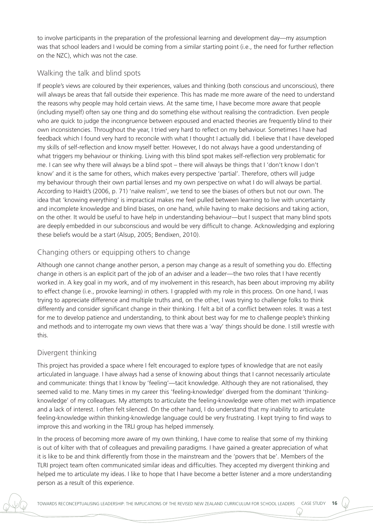to involve participants in the preparation of the professional learning and development day—my assumption was that school leaders and I would be coming from a similar starting point (i.e., the need for further reflection on the NZC), which was not the case.

### Walking the talk and blind spots

If people's views are coloured by their experiences, values and thinking (both conscious and unconscious), there will always be areas that fall outside their experience. This has made me more aware of the need to understand the reasons why people may hold certain views. At the same time, I have become more aware that people (including myself) often say one thing and do something else without realising the contradiction. Even people who are quick to judge the incongruence between espoused and enacted theories are frequently blind to their own inconsistencies. Throughout the year, I tried very hard to reflect on my behaviour. Sometimes I have had feedback which I found very hard to reconcile with what I thought I actually did. I believe that I have developed my skills of self-reflection and know myself better. However, I do not always have a good understanding of what triggers my behaviour or thinking. Living with this blind spot makes self-reflection very problematic for me. I can see why there will always be a blind spot – there will always be things that I 'don't know I don't know' and it is the same for others, which makes every perspective 'partial'. Therefore, others will judge my behaviour through their own partial lenses and my own perspective on what I do will always be partial. According to Haidt's (2006, p. 71) 'naïve realism', we tend to see the biases of others but not our own. The idea that 'knowing everything' is impractical makes me feel pulled between learning to live with uncertainty and incomplete knowledge and blind biases, on one hand, while having to make decisions and taking action, on the other. It would be useful to have help in understanding behaviour—but I suspect that many blind spots are deeply embedded in our subconscious and would be very difficult to change. Acknowledging and exploring these beliefs would be a start (Alsup, 2005; Bendixen, 2010).

#### Changing others or equipping others to change

Although one cannot change another person, a person may change as a result of something you do. Effecting change in others is an explicit part of the job of an adviser and a leader—the two roles that I have recently worked in. A key goal in my work, and of my involvement in this research, has been about improving my ability to effect change (i.e., provoke learning) in others. I grappled with my role in this process. On one hand, I was trying to appreciate difference and multiple truths and, on the other, I was trying to challenge folks to think differently and consider significant change in their thinking. I felt a bit of a conflict between roles. It was a test for me to develop patience and understanding, to think about best way for me to challenge people's thinking and methods and to interrogate my own views that there was a 'way' things should be done. I still wrestle with this.

#### Divergent thinking

This project has provided a space where I felt encouraged to explore types of knowledge that are not easily articulated in language. I have always had a sense of knowing about things that I cannot necessarily articulate and communicate: things that I know by 'feeling'—tacit knowledge. Although they are not rationalised, they seemed valid to me. Many times in my career this 'feeling-knowledge' diverged from the dominant 'thinkingknowledge' of my colleagues. My attempts to articulate the feeling-knowledge were often met with impatience and a lack of interest. I often felt silenced. On the other hand, I do understand that my inability to articulate feeling-knowledge within thinking-knowledge language could be very frustrating. I kept trying to find ways to improve this and working in the TRLI group has helped immensely.

In the process of becoming more aware of my own thinking, I have come to realise that some of my thinking is out of kilter with that of colleagues and prevailing paradigms. I have gained a greater appreciation of what it is like to be and think differently from those in the mainstream and the 'powers that be'. Members of the TLRI project team often communicated similar ideas and difficulties. They accepted my divergent thinking and helped me to articulate my ideas. I like to hope that I have become a better listener and a more understanding person as a result of this experience.

.<br>Ja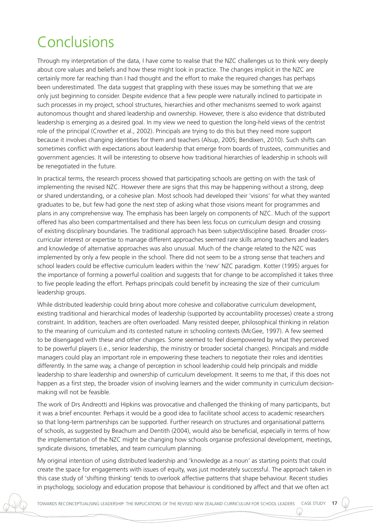## Conclusions

Through my interpretation of the data, I have come to realise that the NZC challenges us to think very deeply about core values and beliefs and how these might look in practice. The changes implicit in the NZC are certainly more far reaching than I had thought and the effort to make the required changes has perhaps been underestimated. The data suggest that grappling with these issues may be something that we are only just beginning to consider. Despite evidence that a few people were naturally inclined to participate in such processes in my project, school structures, hierarchies and other mechanisms seemed to work against autonomous thought and shared leadership and ownership. However, there is also evidence that distributed leadership is emerging as a desired goal. In my view we need to question the long-held views of the centrist role of the principal (Crowther et al., 2002). Principals are trying to do this but they need more support because it involves changing identities for them and teachers (Alsup, 2005; Bendixen, 2010). Such shifts can sometimes conflict with expectations about leadership that emerge from boards of trustees, communities and government agencies. It will be interesting to observe how traditional hierarchies of leadership in schools will be renegotiated in the future.

In practical terms, the research process showed that participating schools are getting on with the task of implementing the revised NZC. However there are signs that this may be happening without a strong, deep or shared understanding, or a cohesive plan. Most schools had developed their 'visions' for what they wanted graduates to be, but few had gone the next step of asking what those visions meant for programmes and plans in any comprehensive way. The emphasis has been largely on components of NZC. Much of the support offered has also been compartmentalised and there has been less focus on curriculum design and crossing of existing disciplinary boundaries. The traditional approach has been subject/discipline based. Broader crosscurricular interest or expertise to manage different approaches seemed rare skills among teachers and leaders and knowledge of alternative approaches was also unusual. Much of the change related to the NZC was implemented by only a few people in the school. There did not seem to be a strong sense that teachers and school leaders could be effective curriculum leaders within the 'new' NZC paradigm. Kotter (1995) argues for the importance of forming a powerful coalition and suggests that for change to be accomplished it takes three to five people leading the effort. Perhaps principals could benefit by increasing the size of their curriculum leadership groups.

While distributed leadership could bring about more cohesive and collaborative curriculum development, existing traditional and hierarchical modes of leadership (supported by accountability processes) create a strong constraint. In addition, teachers are often overloaded. Many resisted deeper, philosophical thinking in relation to the meaning of curriculum and its contested nature in schooling contexts (McGee, 1997). A few seemed to be disengaged with these and other changes. Some seemed to feel disempowered by what they perceived to be powerful players (i.e., senior leadership, the ministry or broader societal changes). Principals and middle managers could play an important role in empowering these teachers to negotiate their roles and identities differently. In the same way, a change of perception in school leadership could help principals and middle leadership to share leadership and ownership of curriculum development. It seems to me that, if this does not happen as a first step, the broader vision of involving learners and the wider community in curriculum decisionmaking will not be feasible.

The work of Drs Andreotti and Hipkins was provocative and challenged the thinking of many participants, but it was a brief encounter. Perhaps it would be a good idea to facilitate school access to academic researchers so that long-term partnerships can be supported. Further research on structures and organisational patterns of schools, as suggested by Beachum and Dentith (2004), would also be beneficial, especially in terms of how the implementation of the NZC might be changing how schools organise professional development, meetings, syndicate divisions, timetables, and team curriculum planning.

My original intention of using distributed leadership and 'knowledge as a noun' as starting points that could create the space for engagements with issues of equity, was just moderately successful. The approach taken in this case study of 'shifting thinking' tends to overlook affective patterns that shape behaviour. Recent studies in psychology, sociology and education propose that behaviour is conditioned by affect and that we often act

l.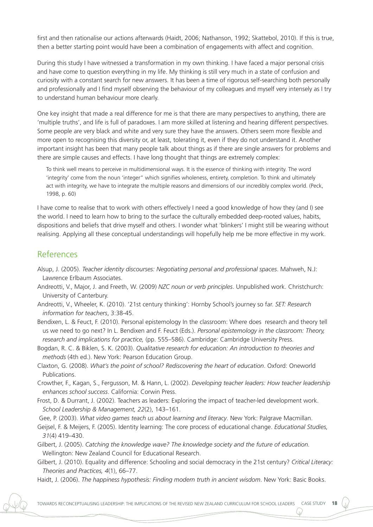first and then rationalise our actions afterwards (Haidt, 2006; Nathanson, 1992; Skattebol, 2010). If this is true, then a better starting point would have been a combination of engagements with affect and cognition.

During this study I have witnessed a transformation in my own thinking. I have faced a major personal crisis and have come to question everything in my life. My thinking is still very much in a state of confusion and curiosity with a constant search for new answers. It has been a time of rigorous self-searching both personally and professionally and I find myself observing the behaviour of my colleagues and myself very intensely as I try to understand human behaviour more clearly.

One key insight that made a real difference for me is that there are many perspectives to anything, there are 'multiple truths', and life is full of paradoxes. I am more skilled at listening and hearing different perspectives. Some people are very black and white and very sure they have the answers. Others seem more flexible and more open to recognising this diversity or, at least, tolerating it, even if they do not understand it. Another important insight has been that many people talk about things as if there are single answers for problems and there are simple causes and effects. I have long thought that things are extremely complex:

To think well means to perceive in multidimensional ways. It is the essence of thinking with integrity. The word 'integrity' come from the noun 'integer" which signifies wholeness, entirety, completion. To think and ultimately act with integrity, we have to integrate the multiple reasons and dimensions of our incredibly complex world. (Peck, 1998, p. 60)

I have come to realise that to work with others effectively I need a good knowledge of how they (and I) see the world. I need to learn how to bring to the surface the culturally embedded deep-rooted values, habits, dispositions and beliefs that drive myself and others. I wonder what 'blinkers' I might still be wearing without realising. Applying all these conceptual understandings will hopefully help me be more effective in my work.

#### References

- Alsup, J. (2005). *Teacher identity discourses: Negotiating personal and professional spaces*. Mahweh, N.J: Lawrence Erlbaum Associates.
- Andreotti, V., Major, J. and Freeth, W. (2009) *NZC noun or verb principles*. Unpublished work. Christchurch: University of Canterbury.
- Andreotti, V., Wheeler, K. (2010). '21st century thinking': Hornby School's journey so far. *SET: Research information for teachers*, 3:38-45.
- Bendixen, L. & Feuct, F. (2010). Personal epistemology In the classroom: Where does research and theory tell us we need to go next? In L. Bendixen and F. Feuct (Eds.). *Personal epistemology in the classroom: Theory, research and implications for practice,* (pp. 555–586). Cambridge: Cambridge University Press.
- Bogdan, R. C. & Biklen, S. K. (2003). *Qualitative research for education: An introduction to theories and methods* (4th ed.). New York: Pearson Education Group.
- Claxton, G. (2008). *What's the point of school? Rediscovering the heart of education*. Oxford: Oneworld Publications.
- Crowther, F., Kagan, S., Fergusson, M. & Hann, L. (2002). *Developing teacher leaders: How teacher leadership enhances school success*. California: Corwin Press.
- Frost, D. & Durrant, J. (2002). Teachers as leaders: Exploring the impact of teacher-led development work. *School Leadership & Management, 22*(2), 143–161.

Gee, P. (2003). *What video games teach us about learning and literacy*. New York: Palgrave Macmillan.

- Geijsel, F. & Meijers, F. (2005). Identity learning: The core process of educational change. *Educational Studies, 31*(4) 419–430.
- Gilbert, J. (2005). *Catching the knowledge wave? The knowledge society and the future of education.* Wellington: New Zealand Council for Educational Research.
- Gilbert, J. (2010). Equality and difference: Schooling and social democracy in the 21st century? *Critical Literacy: Theories and Practices, 4*(1), 66–77.
- Haidt, J. (2006). *The happiness hypothesis: Finding modern truth in ancient wisdom*. New York: Basic Books.